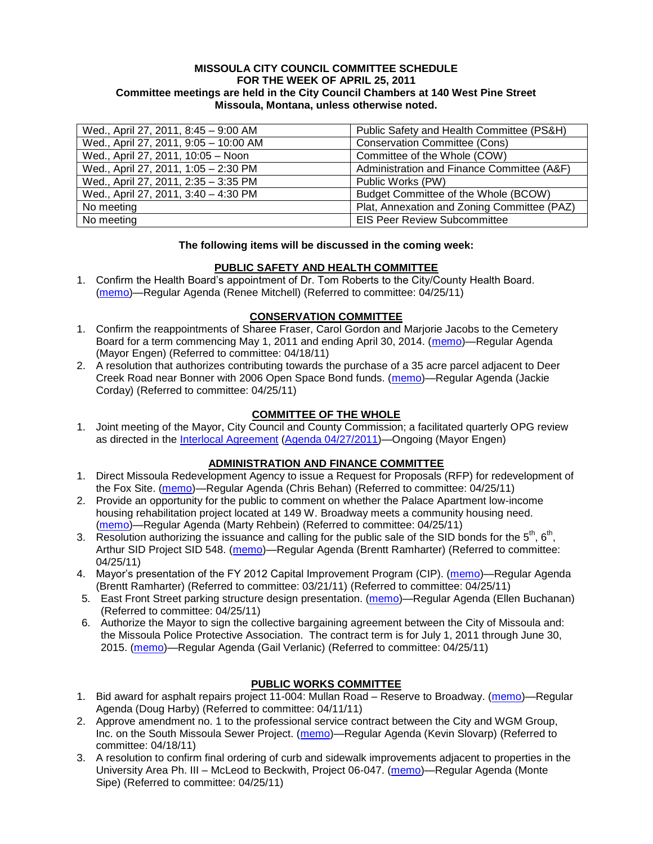#### **MISSOULA CITY COUNCIL COMMITTEE SCHEDULE FOR THE WEEK OF APRIL 25, 2011 Committee meetings are held in the City Council Chambers at 140 West Pine Street Missoula, Montana, unless otherwise noted.**

| Wed., April 27, 2011, 8:45 - 9:00 AM  | Public Safety and Health Committee (PS&H)   |
|---------------------------------------|---------------------------------------------|
| Wed., April 27, 2011, 9:05 - 10:00 AM | <b>Conservation Committee (Cons)</b>        |
| Wed., April 27, 2011, 10:05 - Noon    | Committee of the Whole (COW)                |
| Wed., April 27, 2011, 1:05 - 2:30 PM  | Administration and Finance Committee (A&F)  |
| Wed., April 27, 2011, 2:35 - 3:35 PM  | Public Works (PW)                           |
| Wed., April 27, 2011, 3:40 - 4:30 PM  | Budget Committee of the Whole (BCOW)        |
| No meeting                            | Plat, Annexation and Zoning Committee (PAZ) |
| No meeting                            | <b>EIS Peer Review Subcommittee</b>         |

#### **The following items will be discussed in the coming week:**

# **PUBLIC SAFETY AND HEALTH COMMITTEE**

1. Confirm the Health Board's appointment of Dr. Tom Roberts to the City/County Health Board. [\(memo\)](http://www.ci.missoula.mt.us/DocumentView.aspx?DID=6256)—Regular Agenda (Renee Mitchell) (Referred to committee: 04/25/11)

# **CONSERVATION COMMITTEE**

- 1. Confirm the reappointments of Sharee Fraser, Carol Gordon and Marjorie Jacobs to the Cemetery Board for a term commencing May 1, 2011 and ending April 30, 2014. [\(memo\)](http://www.ci.missoula.mt.us/DocumentView.aspx?DID=6162)—Regular Agenda (Mayor Engen) (Referred to committee: 04/18/11)
- 2. A resolution that authorizes contributing towards the purchase of a 35 acre parcel adjacent to Deer Creek Road near Bonner with 2006 Open Space Bond funds. [\(memo\)](http://www.ci.missoula.mt.us/DocumentView.aspx?DID=6254)—Regular Agenda (Jackie Corday) (Referred to committee: 04/25/11)

# **COMMITTEE OF THE WHOLE**

1. Joint meeting of the Mayor, City Council and County Commission; a facilitated quarterly OPG review as directed in the [Interlocal Agreement](ftp://ftp.ci.missoula.mt.us/Documents/Mayor/OPG/Adopted-ILA-2005.pdf) (Agenda [04/27/2011\)](http://www.ci.missoula.mt.us/DocumentView.aspx?DID=6273)—Ongoing (Mayor Engen)

# **ADMINISTRATION AND FINANCE COMMITTEE**

- 1. Direct Missoula Redevelopment Agency to issue a Request for Proposals (RFP) for redevelopment of the Fox Site. [\(memo\)](http://www.ci.missoula.mt.us/DocumentView.aspx?DID=6267)—Regular Agenda (Chris Behan) (Referred to committee: 04/25/11)
- 2. Provide an opportunity for the public to comment on whether the Palace Apartment low-income housing rehabilitation project located at 149 W. Broadway meets a community housing need. [\(memo\)](http://www.ci.missoula.mt.us/DocumentView.aspx?DID=6257)—Regular Agenda (Marty Rehbein) (Referred to committee: 04/25/11)
- 3. Resolution authorizing the issuance and calling for the public sale of the SID bonds for the  $5<sup>th</sup>$ ,  $6<sup>th</sup>$ , Arthur SID Project SID 548. [\(memo\)](http://www.ci.missoula.mt.us/DocumentView.aspx?DID=6263)—Regular Agenda (Brentt Ramharter) (Referred to committee: 04/25/11)
- 4. Mayor's presentation of the FY 2012 Capital Improvement Program (CIP). [\(memo\)](http://www.ci.missoula.mt.us/DocumentView.aspx?DID=5789)—Regular Agenda (Brentt Ramharter) (Referred to committee: 03/21/11) (Referred to committee: 04/25/11)
- 5. East Front Street parking structure design presentation. [\(memo\)](http://www.ci.missoula.mt.us/DocumentView.aspx?DID=6269)—Regular Agenda (Ellen Buchanan) (Referred to committee: 04/25/11)
- 6. Authorize the Mayor to sign the collective bargaining agreement between the City of Missoula and: the Missoula Police Protective Association. The contract term is for July 1, 2011 through June 30, 2015. [\(memo\)](http://www.ci.missoula.mt.us/DocumentView.aspx?DID=6258)—Regular Agenda (Gail Verlanic) (Referred to committee: 04/25/11)

# **PUBLIC WORKS COMMITTEE**

- 1. Bid award for asphalt repairs project 11-004: Mullan Road Reserve to Broadway. [\(memo\)](http://www.ci.missoula.mt.us/DocumentView.aspx?DID=5982)—Regular Agenda (Doug Harby) (Referred to committee: 04/11/11)
- 2. Approve amendment no. 1 to the professional service contract between the City and WGM Group, Inc. on the South Missoula Sewer Project. [\(memo\)](http://www.ci.missoula.mt.us/DocumentView.aspx?DID=6172)—Regular Agenda (Kevin Slovarp) (Referred to committee: 04/18/11)
- 3. A resolution to confirm final ordering of curb and sidewalk improvements adjacent to properties in the University Area Ph. III – McLeod to Beckwith, Project 06-047. [\(memo\)](http://www.ci.missoula.mt.us/DocumentView.aspx?DID=6259)—Regular Agenda (Monte Sipe) (Referred to committee: 04/25/11)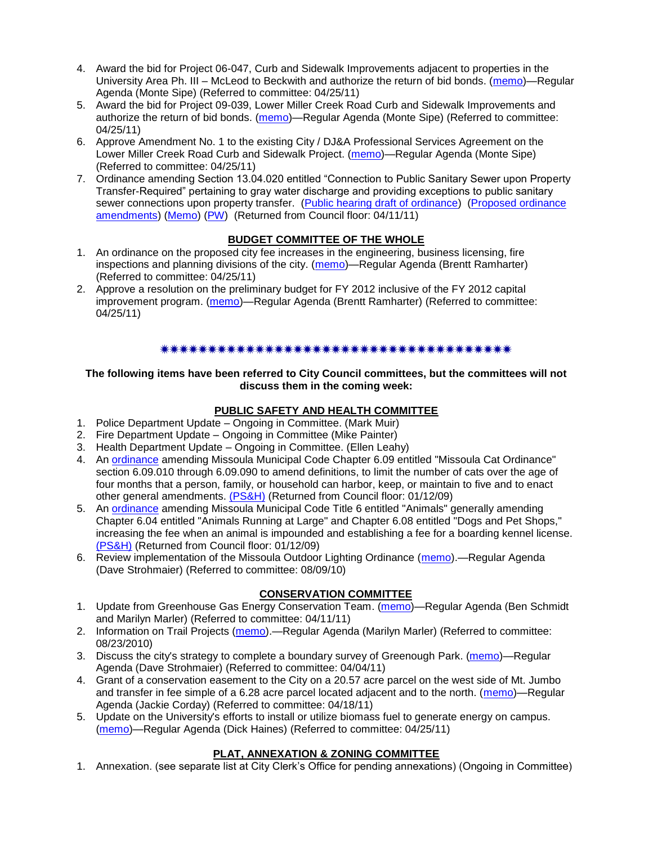- 4. Award the bid for Project 06-047, Curb and Sidewalk Improvements adjacent to properties in the University Area Ph. III – McLeod to Beckwith and authorize the return of bid bonds. [\(memo\)](http://www.ci.missoula.mt.us/DocumentView.aspx?DID=6270)—Regular Agenda (Monte Sipe) (Referred to committee: 04/25/11)
- 5. Award the bid for Project 09-039, Lower Miller Creek Road Curb and Sidewalk Improvements and authorize the return of bid bonds. [\(memo\)](http://www.ci.missoula.mt.us/DocumentView.aspx?DID=6260)—Regular Agenda (Monte Sipe) (Referred to committee: 04/25/11)
- 6. Approve Amendment No. 1 to the existing City / DJ&A Professional Services Agreement on the Lower Miller Creek Road Curb and Sidewalk Project. [\(memo\)](http://www.ci.missoula.mt.us/DocumentView.aspx?DID=6261)—Regular Agenda (Monte Sipe) (Referred to committee: 04/25/11)
- 7. Ordinance amending Section 13.04.020 entitled "Connection to Public Sanitary Sewer upon Property Transfer-Required‖ pertaining to gray water discharge and providing exceptions to public sanitary sewer connections upon property transfer. [\(Public hearing draft of ordinance\)](http://www.ci.missoula.mt.us/DocumentView.aspx?DID=6074) (Proposed ordinance [amendments\)](http://www.ci.missoula.mt.us/DocumentView.aspx?DID=6075) [\(Memo\)](http://www.ci.missoula.mt.us/DocumentView.aspx?DID=5722) [\(PW\)](http://www.ci.missoula.mt.us/Archive.aspx?ADID=3678) (Returned from Council floor: 04/11/11)

# **BUDGET COMMITTEE OF THE WHOLE**

- 1. An ordinance on the proposed city fee increases in the engineering, business licensing, fire inspections and planning divisions of the city. [\(memo\)](http://www.ci.missoula.mt.us/DocumentView.aspx?DID=6262)—Regular Agenda (Brentt Ramharter) (Referred to committee: 04/25/11)
- 2. Approve a resolution on the preliminary budget for FY 2012 inclusive of the FY 2012 capital improvement program. [\(memo\)](http://www.ci.missoula.mt.us/DocumentView.aspx?DID=6255)—Regular Agenda (Brentt Ramharter) (Referred to committee: 04/25/11)

#### \*\*\*\*\*\*\*\*\*\*\*\*\*\*\*\*\*\*\*\*\*\*\*\*\*\*\*\*\*\*\*\*\*\*

#### **The following items have been referred to City Council committees, but the committees will not discuss them in the coming week:**

# **PUBLIC SAFETY AND HEALTH COMMITTEE**

- 1. Police Department Update Ongoing in Committee. (Mark Muir)
- 2. Fire Department Update Ongoing in Committee (Mike Painter)
- 3. Health Department Update Ongoing in Committee. (Ellen Leahy)
- 4. An [ordinance](ftp://ftp.ci.missoula.mt.us/Packets/Council/2008/2008-12-15/2008CatOrdinanceAmendment%5B1%5D.pdf) amending Missoula Municipal Code Chapter 6.09 entitled "Missoula Cat Ordinance" section 6.09.010 through 6.09.090 to amend definitions, to limit the number of cats over the age of four months that a person, family, or household can harbor, keep, or maintain to five and to enact other general amendments. [\(PS&H\)](ftp://ftp.ci.missoula.mt.us/Packets/Council/2008/2008-12-15/081210psh.pdf) (Returned from Council floor: 01/12/09)
- 5. An [ordinance](ftp://ftp.ci.missoula.mt.us/Packets/Council/2008/2008-12-15/DogOrdinance--PSHrevisions.pdf) amending Missoula Municipal Code Title 6 entitled "Animals" generally amending Chapter 6.04 entitled "Animals Running at Large" and Chapter 6.08 entitled "Dogs and Pet Shops," increasing the fee when an animal is impounded and establishing a fee for a boarding kennel license. [\(PS&H\)](ftp://ftp.ci.missoula.mt.us/Packets/Council/2008/2008-12-15/081210psh.pdf) (Returned from Council floor: 01/12/09)
- 6. Review implementation of the Missoula Outdoor Lighting Ordinance [\(memo\)](http://www.ci.missoula.mt.us/DocumentView.aspx?DID=4420).—Regular Agenda (Dave Strohmaier) (Referred to committee: 08/09/10)

# **CONSERVATION COMMITTEE**

- 1. Update from Greenhouse Gas Energy Conservation Team. [\(memo\)](http://www.ci.missoula.mt.us/DocumentView.aspx?DID=5945)—Regular Agenda (Ben Schmidt and Marilyn Marler) (Referred to committee: 04/11/11)
- 2. Information on Trail Projects [\(memo\)](http://www.ci.missoula.mt.us/DocumentView.aspx?DID=4477).—Regular Agenda (Marilyn Marler) (Referred to committee: 08/23/2010)
- 3. Discuss the city's strategy to complete a boundary survey of Greenough Park. [\(memo\)](http://www.ci.missoula.mt.us/DocumentView.aspx?DID=5875)—Regular Agenda (Dave Strohmaier) (Referred to committee: 04/04/11)
- 4. Grant of a conservation easement to the City on a 20.57 acre parcel on the west side of Mt. Jumbo and transfer in fee simple of a 6.28 acre parcel located adjacent and to the north. [\(memo\)](http://www.ci.missoula.mt.us/DocumentView.aspx?DID=6170)—Regular Agenda (Jackie Corday) (Referred to committee: 04/18/11)
- 5. Update on the University's efforts to install or utilize biomass fuel to generate energy on campus. [\(memo\)](http://www.ci.missoula.mt.us/DocumentView.aspx?DID=6268)—Regular Agenda (Dick Haines) (Referred to committee: 04/25/11)

# **PLAT, ANNEXATION & ZONING COMMITTEE**

1. Annexation. (see separate list at City Clerk's Office for pending annexations) (Ongoing in Committee)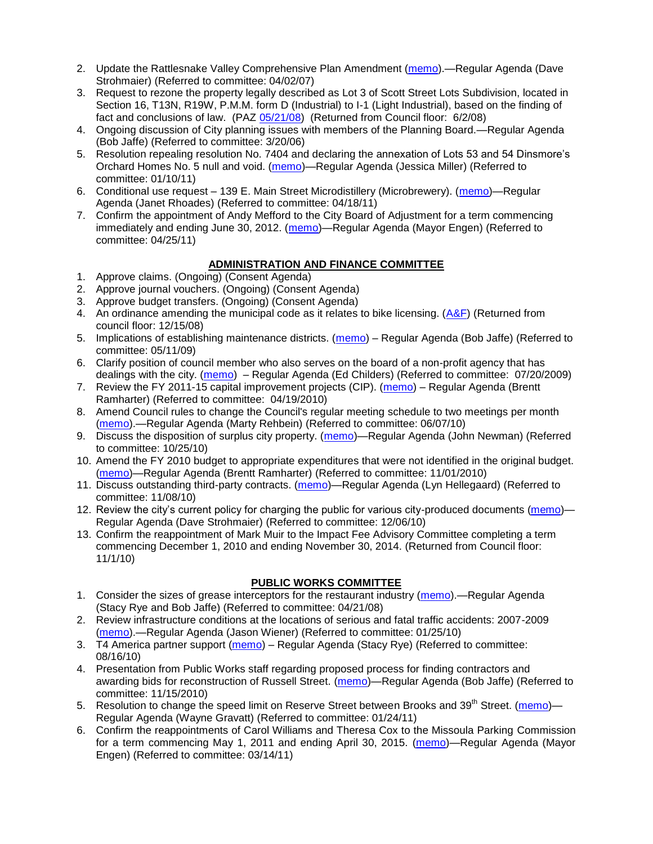- 2. Update the Rattlesnake Valley Comprehensive Plan Amendment [\(memo\)](ftp://ftp.ci.missoula.mt.us/Packets/Council/2007/2007-04-02/Referrals/Rattlesnake_Plan_Update_referral.pdf).—Regular Agenda (Dave Strohmaier) (Referred to committee: 04/02/07)
- 3. Request to rezone the property legally described as Lot 3 of Scott Street Lots Subdivision, located in Section 16, T13N, R19W, P.M.M. form D (Industrial) to I-1 (Light Industrial), based on the finding of fact and conclusions of law. (PAZ [05/21/08\)](ftp://ftp.ci.missoula.mt.us/Packets/Council/2008/2008-06-02/080521paz.pdf) (Returned from Council floor: 6/2/08)
- 4. Ongoing discussion of City planning issues with members of the Planning Board.—Regular Agenda (Bob Jaffe) (Referred to committee: 3/20/06)
- 5. Resolution repealing resolution No. 7404 and declaring the annexation of Lots 53 and 54 Dinsmore's Orchard Homes No. 5 null and void. [\(memo\)](http://www.ci.missoula.mt.us/DocumentView.aspx?DID=5349)—Regular Agenda (Jessica Miller) (Referred to committee: 01/10/11)
- 6. Conditional use request 139 E. Main Street Microdistillery (Microbrewery). [\(memo\)](http://www.ci.missoula.mt.us/DocumentView.aspx?DID=6160)—Regular Agenda (Janet Rhoades) (Referred to committee: 04/18/11)
- 7. Confirm the appointment of Andy Mefford to the City Board of Adjustment for a term commencing immediately and ending June 30, 2012. [\(memo\)](http://www.ci.missoula.mt.us/DocumentView.aspx?DID=6253)—Regular Agenda (Mayor Engen) (Referred to committee: 04/25/11)

# **ADMINISTRATION AND FINANCE COMMITTEE**

- 1. Approve claims. (Ongoing) (Consent Agenda)
- 2. Approve journal vouchers. (Ongoing) (Consent Agenda)
- 3. Approve budget transfers. (Ongoing) (Consent Agenda)
- 4. An ordinance amending the municipal code as it relates to bike licensing.  $(A\&F)$  (Returned from council floor: 12/15/08)
- 5. Implications of establishing maintenance districts. [\(memo\)](ftp://ftp.ci.missoula.mt.us/Packets/Council/2009/2009-05-11/Referrals/MaintenanceDistricts.pdf) Regular Agenda (Bob Jaffe) (Referred to committee: 05/11/09)
- 6. Clarify position of council member who also serves on the board of a non-profit agency that has dealings with the city. [\(memo\)](http://www.ci.missoula.mt.us/DocumentView.aspx?DID=1840) – Regular Agenda (Ed Childers) (Referred to committee: 07/20/2009)
- 7. Review the FY 2011-15 capital improvement projects (CIP). [\(memo\)](http://www.ci.missoula.mt.us/DocumentView.aspx?DID=3522) Regular Agenda (Brentt Ramharter) (Referred to committee: 04/19/2010)
- 8. Amend Council rules to change the Council's regular meeting schedule to two meetings per month [\(memo\)](http://www.ci.missoula.mt.us/DocumentView.aspx?DID=4027).—Regular Agenda (Marty Rehbein) (Referred to committee: 06/07/10)
- 9. Discuss the disposition of surplus city property. [\(memo\)](http://www.ci.missoula.mt.us/DocumentView.aspx?DID=4862)—Regular Agenda (John Newman) (Referred to committee: 10/25/10)
- 10. Amend the FY 2010 budget to appropriate expenditures that were not identified in the original budget. [\(memo\)](http://www.ci.missoula.mt.us/DocumentView.aspx?DID=4883)—Regular Agenda (Brentt Ramharter) (Referred to committee: 11/01/2010)
- 11. Discuss outstanding third-party contracts. [\(memo\)](http://www.ci.missoula.mt.us/DocumentView.aspx?DID=4956)—Regular Agenda (Lyn Hellegaard) (Referred to committee: 11/08/10)
- 12. Review the city's current policy for charging the public for various city-produced documents [\(memo\)](http://www.ci.missoula.mt.us/DocumentView.aspx?DID=5143) Regular Agenda (Dave Strohmaier) (Referred to committee: 12/06/10)
- 13. Confirm the reappointment of Mark Muir to the Impact Fee Advisory Committee completing a term commencing December 1, 2010 and ending November 30, 2014. (Returned from Council floor: 11/1/10)

# **PUBLIC WORKS COMMITTEE**

- 1. Consider the sizes of grease interceptors for the restaurant industry [\(memo\)](ftp://ftp.ci.missoula.mt.us/Packets/Council/2008/2008-04-21/Referrals/Industrial_waste_restaurants.pdf).—Regular Agenda (Stacy Rye and Bob Jaffe) (Referred to committee: 04/21/08)
- 2. Review infrastructure conditions at the locations of serious and fatal traffic accidents: 2007-2009 [\(memo\)](http://www.ci.missoula.mt.us/DocumentView.aspx?DID=3031).—Regular Agenda (Jason Wiener) (Referred to committee: 01/25/10)
- 3. T4 America partner support [\(memo\)](http://www.ci.missoula.mt.us/DocumentView.aspx?DID=4452) Regular Agenda (Stacy Rye) (Referred to committee: 08/16/10)
- 4. Presentation from Public Works staff regarding proposed process for finding contractors and awarding bids for reconstruction of Russell Street. [\(memo\)](http://www.ci.missoula.mt.us/DocumentView.aspx?DID=5042)—Regular Agenda (Bob Jaffe) (Referred to committee: 11/15/2010)
- 5. Resolution to change the speed limit on Reserve Street between Brooks and 39<sup>th</sup> Street. [\(memo\)](http://www.ci.missoula.mt.us/DocumentView.aspx?DID=5418) Regular Agenda (Wayne Gravatt) (Referred to committee: 01/24/11)
- 6. Confirm the reappointments of Carol Williams and Theresa Cox to the Missoula Parking Commission for a term commencing May 1, 2011 and ending April 30, 2015. [\(memo\)](http://www.ci.missoula.mt.us/DocumentView.aspx?DID=5727)—Regular Agenda (Mayor Engen) (Referred to committee: 03/14/11)